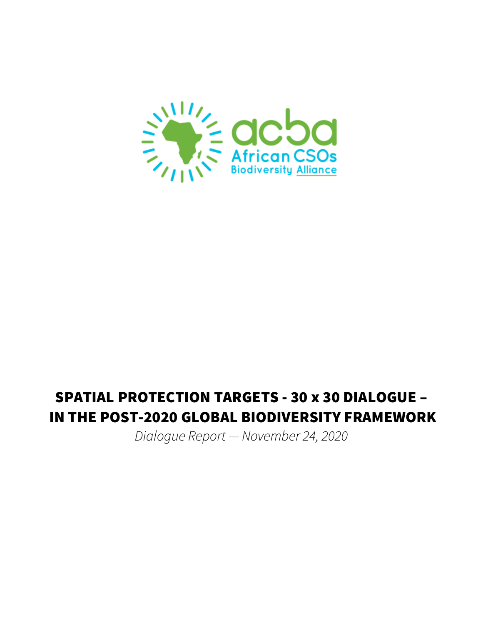

# SPATIAL PROTECTION TARGETS - 30 x 30 DIALOGUE – IN THE POST-2020 GLOBAL BIODIVERSITY FRAMEWORK

*Dialogue Report — November 24, 2020*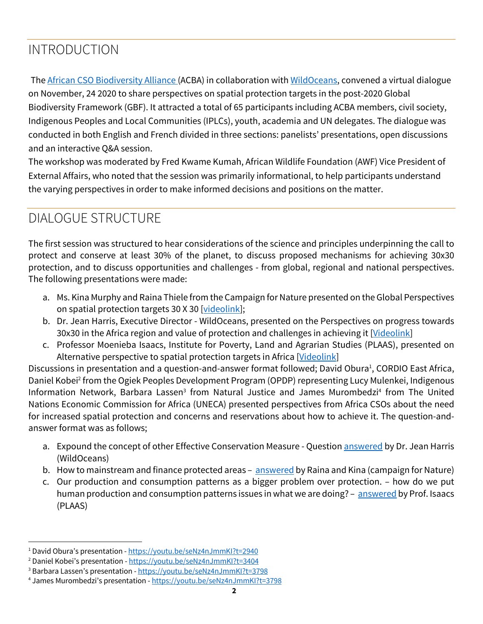# INTRODUCTION

The African CSO Biodiversity Alliance (ACBA) in collaboration with WildOceans, convened a virtual dialogue on November, 24 2020 to share perspectives on spatial protection targets in the post-2020 Global Biodiversity Framework (GBF). It attracted a total of 65 participants including ACBA members, civil society, Indigenous Peoples and Local Communities (IPLCs), youth, academia and UN delegates. The dialogue was conducted in both English and French divided in three sections: panelists' presentations, open discussions and an interactive Q&A session.

The workshop was moderated by Fred Kwame Kumah, African Wildlife Foundation (AWF) Vice President of External Affairs, who noted that the session was primarily informational, to help participants understand the varying perspectives in order to make informed decisions and positions on the matter.

# DIALOGUE STRUCTURE

The first session was structured to hear considerations of the science and principles underpinning the call to protect and conserve at least 30% of the planet, to discuss proposed mechanisms for achieving 30x30 protection, and to discuss opportunities and challenges - from global, regional and national perspectives. The following presentations were made:

- a. Ms. Kina Murphy and Raina Thiele from the Campaign for Nature presented on the Global Perspectives on spatial protection targets 30 X 30 [videolink];
- b. Dr. Jean Harris, Executive Director WildOceans, presented on the Perspectives on progress towards 30x30 in the Africa region and value of protection and challenges in achieving it [Videolink]
- c. Professor Moenieba Isaacs, Institute for Poverty, Land and Agrarian Studies (PLAAS), presented on Alternative perspective to spatial protection targets in Africa [Videolink]

Discussions in presentation and a question-and-answer format followed; David Obura<sup>1</sup>, CORDIO East Africa, Daniel Kobei<sup>2</sup> from the Ogiek Peoples Development Program (OPDP) representing Lucy Mulenkei, Indigenous Information Network, Barbara Lassen<sup>3</sup> from Natural Justice and James Murombedzi<sup>4</sup> from The United Nations Economic Commission for Africa (UNECA) presented perspectives from Africa CSOs about the need for increased spatial protection and concerns and reservations about how to achieve it. The question-andanswer format was as follows;

- a. Expound the concept of other Effective Conservation Measure Question answered by Dr. Jean Harris (WildOceans)
- b. How to mainstream and finance protected areas answered by Raina and Kina (campaign for Nature)
- c. Our production and consumption patterns as a bigger problem over protection. how do we put human production and consumption patterns issues in what we are doing? - answered by Prof. Isaacs (PLAAS)

<sup>1</sup> David Obura's presentation - https://youtu.be/seNz4nJmmKI?t=2940

<sup>&</sup>lt;sup>2</sup> Daniel Kobei's presentation - https://voutu.be/seNz4nJmmKI?t=3404

<sup>&</sup>lt;sup>3</sup> Barbara Lassen's presentation - https://youtu.be/seNz4nJmmKl?t=3798

<sup>4</sup> James Murombedzi's presentation - https://youtu.be/seNz4nJmmKI?t=3798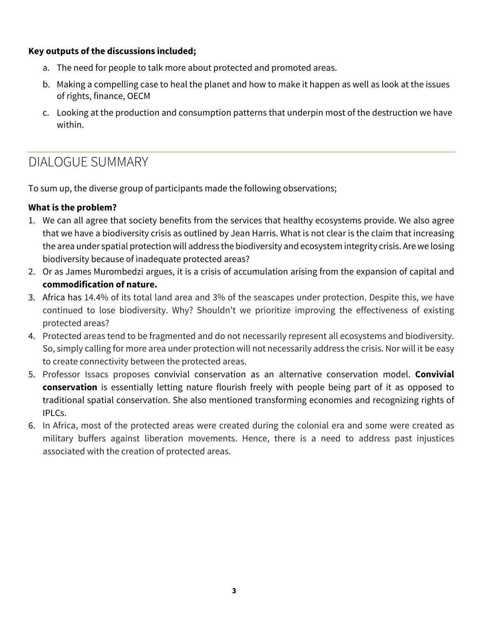### **Key outputs of the discussions included;**

- a. The need for people to talk more about protected and promoted areas.
- b. Making a compelling case to heal the planet and how to make it happen as well as look at the issues of rights, finance, OECM
- c. Looking at the production and consumption patterns that underpin most of the destruction we have within.

### DIALOGUE SUMMARY

To sum up, the diverse group of participants made the following observations;

### **What is the problem?**

- 1. We can all agree that society benefits from the services that healthy ecosystems provide. We also agree that we have a biodiversity crisis as outlined by Jean Harris. What is not clear is the claim that increasing the area under spatial protection will address the biodiversity and ecosystem integrity crisis. Are we losing biodiversity because of inadequate protected areas?
- 2. Or as James Murombedzi argues, it is a crisis of accumulation arising from the expansion of capital and **commodification of nature.**
- 3. Africa has 14.4% of its total land area and 3% of the seascapes under protection. Despite this, we have continued to lose biodiversity. Why? Shouldn't we prioritize improving the effectiveness of existing protected areas?
- 4. Protected areas tend to be fragmented and do not necessarily represent all ecosystems and biodiversity. So, simply calling for more area under protection will not necessarily address the crisis. Nor will it be easy to create connectivity between the protected areas.
- 5. Professor Issacs proposes convivial conservation as an alternative conservation model. **Convivial conservation** is essentially letting nature flourish freely with people being part of it as opposed to traditional spatial conservation. She also mentioned transforming economies and recognizing rights of IPLCs.
- 6. In Africa, most of the protected areas were created during the colonial era and some were created as military buffers against liberation movements. Hence, there is a need to address past injustices associated with the creation of protected areas.